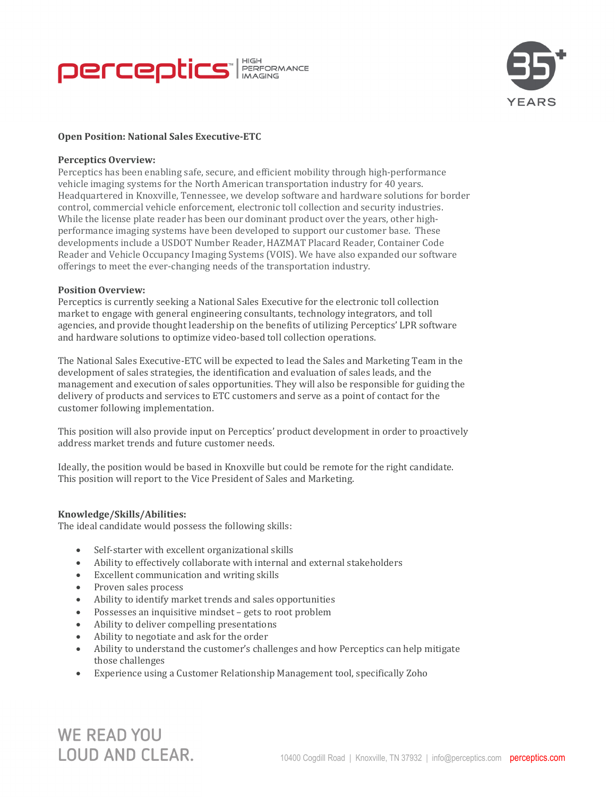



# **Open Position: National Sales Executive-ETC**

#### **Perceptics Overview:**

Perceptics has been enabling safe, secure, and efficient mobility through high-performance vehicle imaging systems for the North American transportation industry for 40 years. Headquartered in Knoxville, Tennessee, we develop software and hardware solutions for border control, commercial vehicle enforcement, electronic toll collection and security industries. While the license plate reader has been our dominant product over the years, other highperformance imaging systems have been developed to support our customer base. These developments include a USDOT Number Reader, HAZMAT Placard Reader, Container Code Reader and Vehicle Occupancy Imaging Systems (VOIS). We have also expanded our software offerings to meet the ever-changing needs of the transportation industry.

### **Position Overview:**

Perceptics is currently seeking a National Sales Executive for the electronic toll collection market to engage with general engineering consultants, technology integrators, and toll agencies, and provide thought leadership on the benefits of utilizing Perceptics' LPR software and hardware solutions to optimize video-based toll collection operations.

The National Sales Executive-ETC will be expected to lead the Sales and Marketing Team in the development of sales strategies, the identification and evaluation of sales leads, and the management and execution of sales opportunities. They will also be responsible for guiding the delivery of products and services to ETC customers and serve as a point of contact for the customer following implementation.

This position will also provide input on Perceptics' product development in order to proactively address market trends and future customer needs.

Ideally, the position would be based in Knoxville but could be remote for the right candidate. This position will report to the Vice President of Sales and Marketing.

## **Knowledge/Skills/Abilities:**

The ideal candidate would possess the following skills:

- Self-starter with excellent organizational skills
- Ability to effectively collaborate with internal and external stakeholders
- Excellent communication and writing skills
- Proven sales process
- Ability to identify market trends and sales opportunities
- Possesses an inquisitive mindset gets to root problem
- Ability to deliver compelling presentations
- Ability to negotiate and ask for the order
- Ability to understand the customer's challenges and how Perceptics can help mitigate those challenges
- Experience using a Customer Relationship Management tool, specifically Zoho